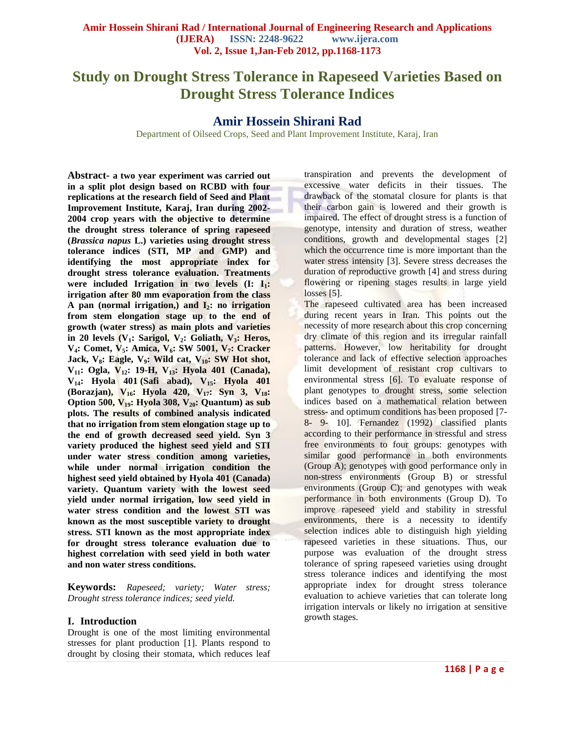# **Study on Drought Stress Tolerance in Rapeseed Varieties Based on Drought Stress Tolerance Indices**

# **Amir Hossein Shirani Rad**

Department of Oilseed Crops, Seed and Plant Improvement Institute, Karaj, Iran

**Abstract- a two year experiment was carried out in a split plot design based on RCBD with four replications at the research field of Seed and Plant Improvement Institute, Karaj, Iran during 2002- 2004 crop years with the objective to determine the drought stress tolerance of spring rapeseed (***Brassica napus* **L.) varieties using drought stress tolerance indices (STI, MP and GMP) and identifying the most appropriate index for drought stress tolerance evaluation. Treatments were included Irrigation in two levels (I: I1: irrigation after 80 mm evaporation from the class A pan (normal irrigation,) and I2: no irrigation from stem elongation stage up to the end of growth (water stress) as main plots and varieties in 20 levels (V1: Sarigol, V2: Goliath, V3: Heros, V4: Comet, V5: Amica, V6: SW 5001, V7: Cracker Jack, V8: Eagle, V9: Wild cat, V10: SW Hot shot, V11: Ogla, V12: 19-H, V13: Hyola 401 (Canada), V14: Hyola 401 (Safi abad), V15: Hyola 401 (Borazjan), V16: Hyola 420, V17: Syn 3, V18: Option 500, V19: Hyola 308, V20: Quantum) as sub plots. The results of combined analysis indicated that no irrigation from stem elongation stage up to the end of growth decreased seed yield. Syn 3 variety produced the highest seed yield and STI under water stress condition among varieties, while under normal irrigation condition the highest seed yield obtained by Hyola 401 (Canada) variety. Quantum variety with the lowest seed yield under normal irrigation, low seed yield in water stress condition and the lowest STI was known as the most susceptible variety to drought stress. STI known as the most appropriate index for drought stress tolerance evaluation due to highest correlation with seed yield in both water and non water stress conditions.**

**Keywords:** *Rapeseed; variety; Water stress; Drought stress tolerance indices; seed yield.*

## **I. Introduction**

Drought is one of the most limiting environmental stresses for plant production [1]. Plants respond to drought by closing their stomata, which reduces leaf

transpiration and prevents the development of excessive water deficits in their tissues. The drawback of the stomatal closure for plants is that their carbon gain is lowered and their growth is impaired. The effect of drought stress is a function of genotype, intensity and duration of stress, weather conditions, growth and developmental stages [2] which the occurrence time is more important than the water stress intensity [3]. Severe stress decreases the duration of reproductive growth [4] and stress during flowering or ripening stages results in large yield losses [5].

The rapeseed cultivated area has been increased during recent years in Iran. This points out the necessity of more research about this crop concerning dry climate of this region and its irregular rainfall patterns. However, low heritability for drought tolerance and lack of effective selection approaches limit development of resistant crop cultivars to environmental stress [6]. To evaluate response of plant genotypes to drought stress, some selection indices based on a mathematical relation between stress- and optimum conditions has been proposed [7- 8- 9- 10]. Fernandez (1992) classified plants according to their performance in stressful and stress free environments to four groups: genotypes with similar good performance in both environments (Group A); genotypes with good performance only in non-stress environments (Group B) or stressful environments (Group C); and genotypes with weak performance in both environments (Group D). To improve rapeseed yield and stability in stressful environments, there is a necessity to identify selection indices able to distinguish high yielding rapeseed varieties in these situations. Thus, our purpose was evaluation of the drought stress tolerance of spring rapeseed varieties using drought stress tolerance indices and identifying the most appropriate index for drought stress tolerance evaluation to achieve varieties that can tolerate long irrigation intervals or likely no irrigation at sensitive growth stages.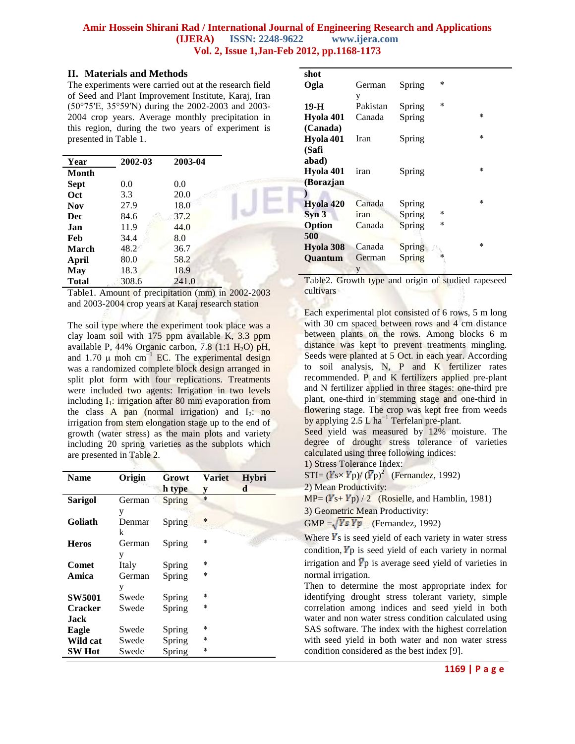## **II. Materials and Methods**

The experiments were carried out at the research field of Seed and Plant Improvement Institute, Karaj, Iran (50°75′E, 35°59′N) during the 2002-2003 and 2003- 2004 crop years. Average monthly precipitation in this region, during the two years of experiment is presented in Table 1.

| Year         | 2002-03 | 2003-04 |  |
|--------------|---------|---------|--|
| Month        |         |         |  |
| <b>Sept</b>  | 0.0     | 0.0     |  |
| Oct          | 3.3     | 20.0    |  |
| <b>Nov</b>   | 27.9    | 18.0    |  |
| Dec          | 84.6    | 37.2    |  |
| .Ian         | 11.9    | 44.0    |  |
| Feb          | 34.4    | 8.0     |  |
| March        | 48.2    | 36.7    |  |
| April        | 80.0    | 58.2    |  |
| May          | 18.3    | 18.9    |  |
| <b>Total</b> | 308.6   | 241.0   |  |

Table1. Amount of precipitation (mm) in 2002-2003 and 2003-2004 crop years at Karaj research station

The soil type where the experiment took place was a clay loam soil with 175 ppm available K, 3.3 ppm available P,  $44\%$  Organic carbon, 7.8 (1:1 H<sub>2</sub>O) pH, and 1.70  $\mu$  moh cm<sup>-1</sup> EC. The experimental design was a randomized complete block design arranged in split plot form with four replications. Treatments were included two agents: Irrigation in two levels including  $I_1$ : irrigation after 80 mm evaporation from the class A pan (normal irrigation) and  $I_2$ : no irrigation from stem elongation stage up to the end of growth (water stress) as the main plots and variety including 20 spring varieties as the subplots which are presented in Table 2.

| Name           | Origin | Growt  | <b>Variet</b> | Hybri |
|----------------|--------|--------|---------------|-------|
|                |        | h type | y             | d     |
| <b>Sarigol</b> | German | Spring | $\ast$        |       |
|                | y      |        |               |       |
| Goliath        | Denmar | Spring | $\ast$        |       |
|                | k      |        |               |       |
| Heros          | German | Spring | $\ast$        |       |
|                | y      |        |               |       |
| <b>Comet</b>   | Italy  | Spring | ÷             |       |
| Amica          | German | Spring | $\ast$        |       |
|                | y      |        |               |       |
| <b>SW5001</b>  | Swede  | Spring | $\ast$        |       |
| <b>Cracker</b> | Swede  | Spring | $\ast$        |       |
| .Jack          |        |        |               |       |
| Eagle          | Swede  | Spring | *             |       |
| Wild cat       | Swede  | Spring | $\ast$        |       |
| <b>SW Hot</b>  | Swede  | Spring | $\ast$        |       |
|                |        |        |               |       |

| shot             |          |        |        |        |
|------------------|----------|--------|--------|--------|
| Ogla             | German   | Spring | $\ast$ |        |
|                  | y        |        |        |        |
| 19-H             | Pakistan | Spring | $\ast$ |        |
| Hyola 401        | Canada   | Spring |        | $\ast$ |
| (Canada)         |          |        |        |        |
| Hyola 401        | Iran     | Spring |        | $\ast$ |
| (Safi            |          |        |        |        |
| abad)            |          |        |        |        |
| Hyola 401        | iran     | Spring |        | $\ast$ |
| (Borazjan        |          |        |        |        |
|                  |          |        |        |        |
| Hyola 420        | Canada   | Spring |        | $\ast$ |
| Syn <sub>3</sub> | iran     | Spring | $\ast$ |        |
| Option           | Canada   | Spring | $\ast$ |        |
| 500              |          |        |        |        |
| Hyola 308        | Canada   | Spring |        | *      |
| Quantum          | German   | Spring | ÷      |        |
|                  | y        |        |        |        |

Table2. Growth type and origin of studied rapeseed cultivars

Each experimental plot consisted of 6 rows, 5 m long with 30 cm spaced between rows and 4 cm distance between plants on the rows. Among blocks 6 m distance was kept to prevent treatments mingling. Seeds were planted at 5 Oct. in each year. According to soil analysis, N, P and K fertilizer rates recommended. P and K fertilizers applied pre-plant and N fertilizer applied in three stages: one-third pre plant, one-third in stemming stage and one-third in flowering stage. The crop was kept free from weeds by applying 2.5 L ha<sup>-1</sup> Terfelan pre-plant.

Seed yield was measured by 12% moisture. The degree of drought stress tolerance of varieties calculated using three following indices:

1) Stress Tolerance Index:

 $STI = (Y_s \times Y_p) / (\bar{Y}_p)^2$  (Fernandez, 1992)

2) Mean Productivity:

 $MP = (Y<sub>S</sub> + Y<sub>p</sub>) / 2$  (Rosielle, and Hamblin, 1981)

3) Geometric Mean Productivity:

GMP =  $\sqrt{YsYp}$  (Fernandez, 1992)

Where  $\boldsymbol{Y}$ s is seed yield of each variety in water stress condition,  $\mathbf{Y}_p$  is seed yield of each variety in normal irrigation and  $\bar{Y}p$  is average seed yield of varieties in normal irrigation.

Then to determine the most appropriate index for identifying drought stress tolerant variety, simple correlation among indices and seed yield in both water and non water stress condition calculated using SAS software. The index with the highest correlation with seed yield in both water and non water stress condition considered as the best index [9].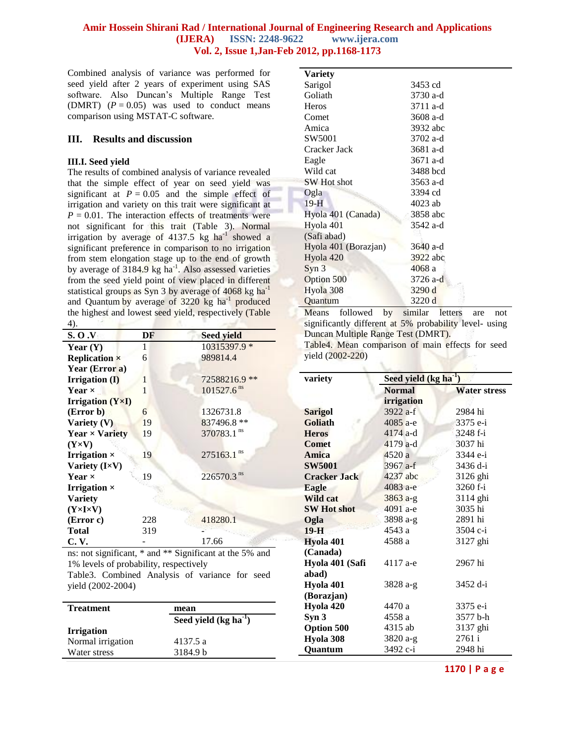Combined analysis of variance was performed for seed yield after 2 years of experiment using SAS software. Also Duncan's Multiple Range Test (DMRT)  $(P = 0.05)$  was used to conduct means comparison using MSTAT-C software.

#### **III. Results and discussion**

#### **III.I. Seed yield**

The results of combined analysis of variance revealed that the simple effect of year on seed yield was significant at  $P = 0.05$  and the simple effect of irrigation and variety on this trait were significant at  $P = 0.01$ . The interaction effects of treatments were not significant for this trait (Table 3). Normal irrigation by average of  $4137.5$  kg ha<sup>-1</sup> showed a significant preference in comparison to no irrigation from stem elongation stage up to the end of growth by average of 3184.9 kg ha<sup>-1</sup>. Also assessed varieties from the seed yield point of view placed in different statistical groups as Syn 3 by average of 4068 kg ha<sup>-1</sup> and Quantum by average of 3220 kg ha<sup>-1</sup> produced the highest and lowest seed yield, respectively (Table 4).

| <b>S.O.V</b>                    | DF  | <b>Seed yield</b>        |
|---------------------------------|-----|--------------------------|
| Year $(Y)$                      | 1   | 10315397.9 *             |
| <b>Replication</b> ×            | 6   | 989814.4                 |
| Year (Error a)                  |     |                          |
| <b>Irrigation</b> (I)           | 1   | 72588216.9 **            |
| Year $\times$                   | 1   | $101527.6$ <sup>ns</sup> |
| <b>Irrigation</b> $(Y\times I)$ |     |                          |
| (Error b)                       | 6   | 1326731.8                |
| Variety $(V)$                   | 19  | 837496.8 **              |
| Year $\times$ Variety           | 19  | 370783.1 ns              |
| $(Y \times V)$                  |     |                          |
| <b>Irrigation</b> $\times$      | 19  | ns<br>275163.1           |
| Variety (I×V)                   |     |                          |
| Year $\times$                   | 19  | 226570.3 <sup>ns</sup>   |
| <b>Irrigation</b> $\times$      |     |                          |
| <b>Variety</b>                  |     |                          |
| $(Y \times I \times V)$         |     |                          |
| (Error c)                       | 228 | 418280.1                 |
| <b>Total</b>                    | 319 |                          |
| C. V.                           |     | 17.66                    |

ns: not significant, \* and \*\* Significant at the 5% and 1% levels of probability, respectively Table3. Combined Analysis of variance for seed yield (2002-2004)

| <b>Treatment</b>  | mean                   |
|-------------------|------------------------|
|                   | Seed yield $(kg ha-1)$ |
| <b>Irrigation</b> |                        |
| Normal irrigation | 4137.5 a               |
| Water stress      | 3184.9 b               |

| <b>Variety</b>       |          |
|----------------------|----------|
| Sarigol              | 3453 cd  |
| Goliath              | 3730 a-d |
| <b>Heros</b>         | 3711 a-d |
| Comet                | 3608 a-d |
| Amica                | 3932 abc |
| SW5001               | 3702 a-d |
| Cracker Jack         | 3681 a-d |
| Eagle                | 3671 a-d |
| Wild cat             | 3488 bcd |
| SW Hot shot          | 3563 a-d |
| Ogla                 | 3394 cd  |
| $19-H$               | 4023 ab  |
| Hyola 401 (Canada)   | 3858 abc |
| Hyola 401            | 3542 a-d |
| (Safi abad)          |          |
| Hyola 401 (Borazjan) | 3640 a-d |
| Hyola 420            | 3922 abc |
| Syn <sub>3</sub>     | 4068 a   |
| Option 500           | 3726 a-d |
| Hyola 308            | 3290 d   |
| Quantum              | 3220 d   |

Means followed by similar letters are not significantly different at 5% probability level- using Duncan Multiple Range Test (DMRT).

Table4. Mean comparison of main effects for seed yield (2002-220)

| variety             | Seed yield (kg ha <sup>-1</sup> ) |                     |  |  |
|---------------------|-----------------------------------|---------------------|--|--|
|                     | <b>Normal</b>                     | <b>Water stress</b> |  |  |
|                     | irrigation                        |                     |  |  |
| <b>Sarigol</b>      | 3922 a-f                          | 2984 hi             |  |  |
| Goliath             | 4085 a-e                          | 3375 e-i            |  |  |
| <b>Heros</b>        | $4174$ a-d                        | 3248 f-i            |  |  |
| <b>Comet</b>        | $4179$ a-d                        | 3037 hi             |  |  |
| Amica               | 4520 a                            | 3344 e-i            |  |  |
| <b>SW5001</b>       | 3967 a-f                          | 3436 d-i            |  |  |
| <b>Cracker Jack</b> | 4237 abc                          | 3126 ghi            |  |  |
| Eagle               | 4083 a-e                          | 3260 f-i            |  |  |
| <b>Wild cat</b>     | $3863 a-g$                        | 3114 ghi            |  |  |
| <b>SW Hot shot</b>  | 4091 а-е                          | 3035 hi             |  |  |
| Ogla                | 3898 a-g                          | 2891 hi             |  |  |
| $19-H$              | 4543 a                            | 3504 c-i            |  |  |
| Hyola 401           | 4588 a                            | 3127 ghi            |  |  |
| (Canada)            |                                   |                     |  |  |
| Hyola 401 (Safi     | 4117 a-e                          | 2967 hi             |  |  |
| abad)               |                                   |                     |  |  |
| Hyola 401           | 3828 a-g                          | 3452 d-i            |  |  |
| (Borazjan)          |                                   |                     |  |  |
| Hyola 420           | 4470 a                            | 3375 e-i            |  |  |
| Syn <sub>3</sub>    | 4558 a                            | 3577 b-h            |  |  |
| <b>Option 500</b>   | 4315 ab                           | 3137 ghi            |  |  |
| Hyola 308           | 3820 a-g                          | 2761 i              |  |  |
| <b>Ouantum</b>      | 3492 c-i                          | 2948 hi             |  |  |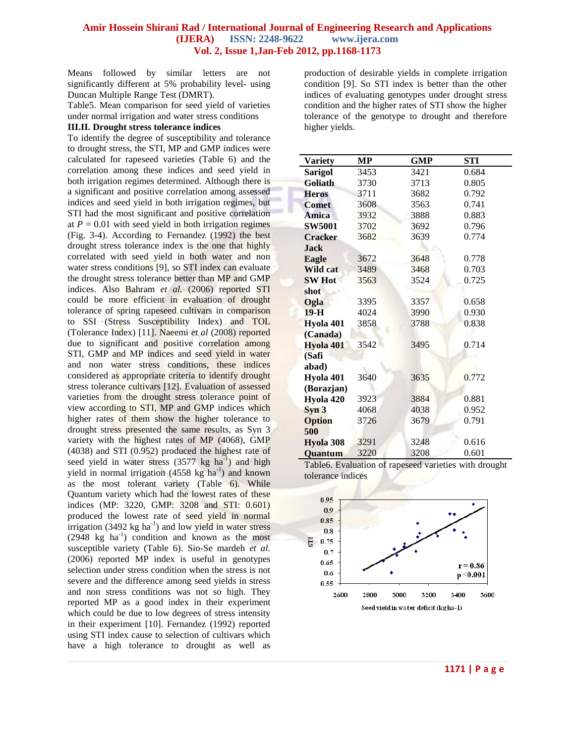Means followed by similar letters are not significantly different at 5% probability level- using Duncan Multiple Range Test (DMRT).

Table5. Mean comparison for seed yield of varieties under normal irrigation and water stress conditions

#### **III.II. Drought stress tolerance indices**

To identify the degree of susceptibility and tolerance to drought stress, the STI, MP and GMP indices were calculated for rapeseed varieties (Table 6) and the correlation among these indices and seed yield in both irrigation regimes determined. Although there is a significant and positive correlation among assessed indices and seed yield in both irrigation regimes, but STI had the most significant and positive correlation at  $P = 0.01$  with seed yield in both irrigation regimes (Fig. 3-4). According to Fernandez (1992) the best drought stress tolerance index is the one that highly correlated with seed yield in both water and non water stress conditions [9], so STI index can evaluate the drought stress tolerance better than MP and GMP indices. Also Bahram *et al.* (2006) reported STI could be more efficient in evaluation of drought tolerance of spring rapeseed cultivars in comparison to SSI (Stress Susceptibility Index) and TOL (Tolerance Index) [11]. Naeemi *et al* (2008) reported due to significant and positive correlation among STI, GMP and MP indices and seed yield in water and non water stress conditions, these indices considered as appropriate criteria to identify drought stress tolerance cultivars [12]. Evaluation of assessed varieties from the drought stress tolerance point of view according to STI, MP and GMP indices which higher rates of them show the higher tolerance to drought stress presented the same results, as Syn 3 variety with the highest rates of MP (4068), GMP (4038) and STI (0.952) produced the highest rate of seed yield in water stress  $(3577 \text{ kg ha}^{-1})$  and high yield in normal irrigation  $(4558 \text{ kg ha}^{-1})$  and known as the most tolerant variety (Table 6). While Quantum variety which had the lowest rates of these indices (MP: 3220, GMP: 3208 and STI: 0.601) produced the lowest rate of seed yield in normal irrigation  $(3492 \text{ kg ha}^{-1})$  and low yield in water stress  $(2948 \text{ kg} \text{ ha}^{-1})$  condition and known as the most susceptible variety (Table 6). Sio-Se mardeh *et al.* (2006) reported MP index is useful in genotypes selection under stress condition when the stress is not severe and the difference among seed yields in stress and non stress conditions was not so high. They reported MP as a good index in their experiment which could be due to low degrees of stress intensity in their experiment [10]. Fernandez (1992) reported using STI index cause to selection of cultivars which have a high tolerance to drought as well as

production of desirable yields in complete irrigation condition [9]. So STI index is better than the other indices of evaluating genotypes under drought stress condition and the higher rates of STI show the higher tolerance of the genotype to drought and therefore higher yields.

| <b>Variety</b>   | MP   | <b>GMP</b> | STI   |
|------------------|------|------------|-------|
| <b>Sarigol</b>   | 3453 | 3421       | 0.684 |
| <b>Goliath</b>   | 3730 | 3713       | 0.805 |
| <b>Heros</b>     | 3711 | 3682       | 0.792 |
| <b>Comet</b>     | 3608 | 3563       | 0.741 |
| <b>Amica</b>     | 3932 | 3888       | 0.883 |
| <b>SW5001</b>    | 3702 | 3692       | 0.796 |
| <b>Cracker</b>   | 3682 | 3639       | 0.774 |
| <b>Jack</b>      |      |            |       |
| Eagle            | 3672 | 3648       | 0.778 |
| Wild cat         | 3489 | 3468       | 0.703 |
| <b>SW Hot</b>    | 3563 | 3524       | 0.725 |
| shot             |      |            |       |
| Ogla             | 3395 | 3357       | 0.658 |
| $19-H$           | 4024 | 3990       | 0.930 |
| Hyola 401        | 3858 | 3788       | 0.838 |
| (Canada)         |      |            |       |
| Hyola 401        | 3542 | 3495       | 0.714 |
| (Safi            |      |            |       |
| abad)            |      |            |       |
| Hyola 401        | 3640 | 3635       | 0.772 |
| (Borazjan)       |      |            |       |
| Hyola 420        | 3923 | 3884       | 0.881 |
| Syn <sub>3</sub> | 4068 | 4038       | 0.952 |
| <b>Option</b>    | 3726 | 3679       | 0.791 |
| 500              |      |            |       |
| Hyola 308        | 3291 | 3248       | 0.616 |
| <b>Ouantum</b>   | 3220 | 3208       | 0.601 |

Table6. Evaluation of rapeseed varieties with drought tolerance indices



**1171 | P a g e**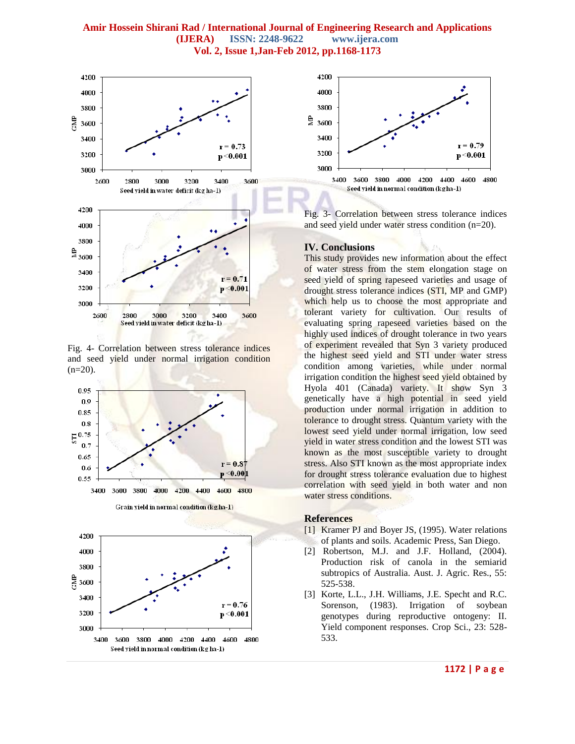

Fig. 4- Correlation between stress tolerance indices and seed yield under normal irrigation condition  $(n=20)$ .





Fig. 3- Correlation between stress tolerance indices and seed yield under water stress condition (n=20).

#### **IV. Conclusions**

This study provides new information about the effect of water stress from the stem elongation stage on seed yield of spring rapeseed varieties and usage of drought stress tolerance indices (STI, MP and GMP) which help us to choose the most appropriate and tolerant variety for cultivation. Our results of evaluating spring rapeseed varieties based on the highly used indices of drought tolerance in two years of experiment revealed that Syn 3 variety produced the highest seed yield and STI under water stress condition among varieties, while under normal irrigation condition the highest seed yield obtained by Hyola 401 (Canada) variety. It show Syn 3 genetically have a high potential in seed yield production under normal irrigation in addition to tolerance to drought stress. Quantum variety with the lowest seed yield under normal irrigation, low seed yield in water stress condition and the lowest STI was known as the most susceptible variety to drought stress. Also STI known as the most appropriate index for drought stress tolerance evaluation due to highest correlation with seed yield in both water and non water stress conditions.

#### **References**

- [1] Kramer PJ and Boyer JS, (1995). Water relations of plants and soils. Academic Press, San Diego.
- [2] Robertson, M.J. and J.F. Holland, (2004). Production risk of canola in the semiarid subtropics of Australia. Aust. J. Agric. Res., 55: 525-538.
- [3] Korte, L.L., J.H. Williams, J.E. Specht and R.C. Sorenson, (1983). Irrigation of soybean genotypes during reproductive ontogeny: II. Yield component responses. Crop Sci., 23: 528- 533.